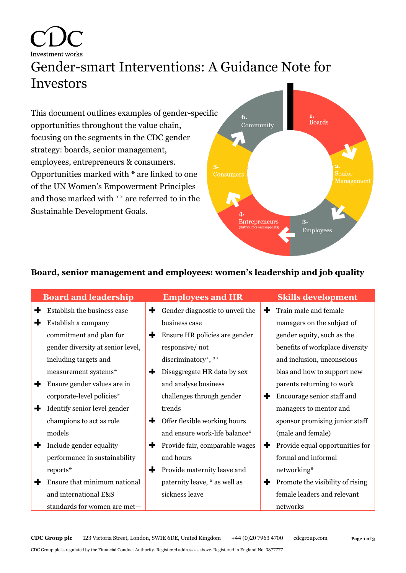Investment works Gender-smart Interventions: A Guidance Note for Investors

This document outlines examples of gender-specific opportunities throughout the value chain, focusing on the segments in the CDC gender strategy: boards, senior management, employees, entrepreneurs & consumers. Opportunities marked with \* are linked to one of the UN Women's Empowerment Principles and those marked with \*\* are referred to in the Sustainable Development Goals.



## **Board, senior management and employees: women's leadership and job quality**

|   | <b>Board and leadership</b>       |   | <b>Employees and HR</b>         |   | <b>Skills development</b>        |
|---|-----------------------------------|---|---------------------------------|---|----------------------------------|
| + | Establish the business case       | ╋ | Gender diagnostic to unveil the | ÷ | Train male and female            |
| ╉ | Establish a company               |   | business case                   |   | managers on the subject of       |
|   | commitment and plan for           | + | Ensure HR policies are gender   |   | gender equity, such as the       |
|   | gender diversity at senior level, |   | responsive/not                  |   | benefits of workplace diversity  |
|   | including targets and             |   | discriminatory*, **             |   | and inclusion, unconscious       |
|   | measurement systems*              | + | Disaggregate HR data by sex     |   | bias and how to support new      |
| ÷ | Ensure gender values are in       |   | and analyse business            |   | parents returning to work        |
|   | corporate-level policies*         |   | challenges through gender       | ╋ | Encourage senior staff and       |
| ╇ | Identify senior level gender      |   | trends                          |   | managers to mentor and           |
|   | champions to act as role          | ÷ | Offer flexible working hours    |   | sponsor promising junior staff   |
|   | models                            |   | and ensure work-life balance*   |   | (male and female)                |
| 4 | Include gender equality           | + | Provide fair, comparable wages  | ÷ | Provide equal opportunities for  |
|   | performance in sustainability     |   | and hours                       |   | formal and informal              |
|   | reports*                          | ÷ | Provide maternity leave and     |   | networking*                      |
|   | Ensure that minimum national      |   | paternity leave, * as well as   | ٠ | Promote the visibility of rising |
|   | and international E&S             |   | sickness leave                  |   | female leaders and relevant      |
|   | standards for women are met-      |   |                                 |   | networks                         |

**CDC Group plc** 123 Victoria Street, London, SW1E 6DE, United Kingdom +44 (0)20 7963 4700 cdcgroup.com

CDC Group plc is regulated by the Financial Conduct Authority. Registered address as above. Registered in England No. 3877777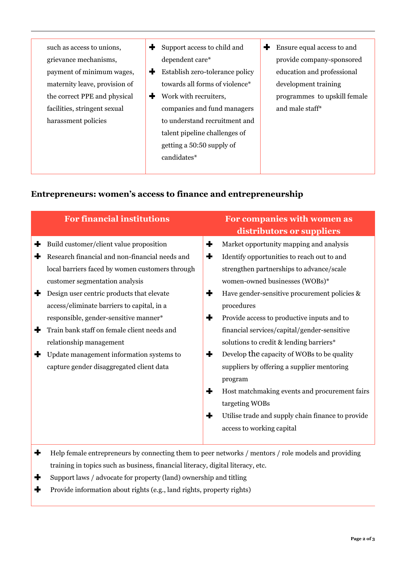such as access to unions, grievance mechanisms, payment of minimum wages, maternity leave, provision of the correct PPE and physical facilities, stringent sexual harassment policies

- $+$ Support access to child and dependent care\*
- $\ddotmark$ Establish zero-tolerance policy towards all forms of violence\*
- Work with recruiters, companies and fund managers to understand recruitment and talent pipeline challenges of getting a 50:50 supply of candidates\*
- **Ensure equal access to and** provide company-sponsored education and professional development training programmes to upskill female and male staff\*

## **Entrepreneurs: women's access to finance and entrepreneurship**

| <b>For financial institutions</b>                                                                                                                                                                                                                                                                                                                                                                                                                                                         | For companies with women as<br>distributors or suppliers                                                                                                                                                                                                                                                                                                                                                                                                                                                                                                                                                                                                                 |
|-------------------------------------------------------------------------------------------------------------------------------------------------------------------------------------------------------------------------------------------------------------------------------------------------------------------------------------------------------------------------------------------------------------------------------------------------------------------------------------------|--------------------------------------------------------------------------------------------------------------------------------------------------------------------------------------------------------------------------------------------------------------------------------------------------------------------------------------------------------------------------------------------------------------------------------------------------------------------------------------------------------------------------------------------------------------------------------------------------------------------------------------------------------------------------|
| Build customer/client value proposition<br>÷<br>Research financial and non-financial needs and<br>local barriers faced by women customers through<br>customer segmentation analysis<br>Design user centric products that elevate<br>access/eliminate barriers to capital, in a<br>responsible, gender-sensitive manner*<br>Train bank staff on female client needs and<br>relationship management<br>Update management information systems to<br>capture gender disaggregated client data | ╈<br>Market opportunity mapping and analysis<br>Identify opportunities to reach out to and<br>÷<br>strengthen partnerships to advance/scale<br>women-owned businesses (WOBs)*<br>Have gender-sensitive procurement policies &<br>÷<br>procedures<br>Provide access to productive inputs and to<br>٠<br>financial services/capital/gender-sensitive<br>solutions to credit & lending barriers*<br>Develop the capacity of WOBs to be quality<br>÷<br>suppliers by offering a supplier mentoring<br>program<br>╋<br>Host matchmaking events and procurement fairs<br>targeting WOBs<br>÷<br>Utilise trade and supply chain finance to provide<br>access to working capital |

- Help female entrepreneurs by connecting them to peer networks / mentors / role models and providing ╋ training in topics such as business, financial literacy, digital literacy, etc.
- ╋ Support laws / advocate for property (land) ownership and titling
- $\ddot{\bullet}$ Provide information about rights (e.g., land rights, property rights)